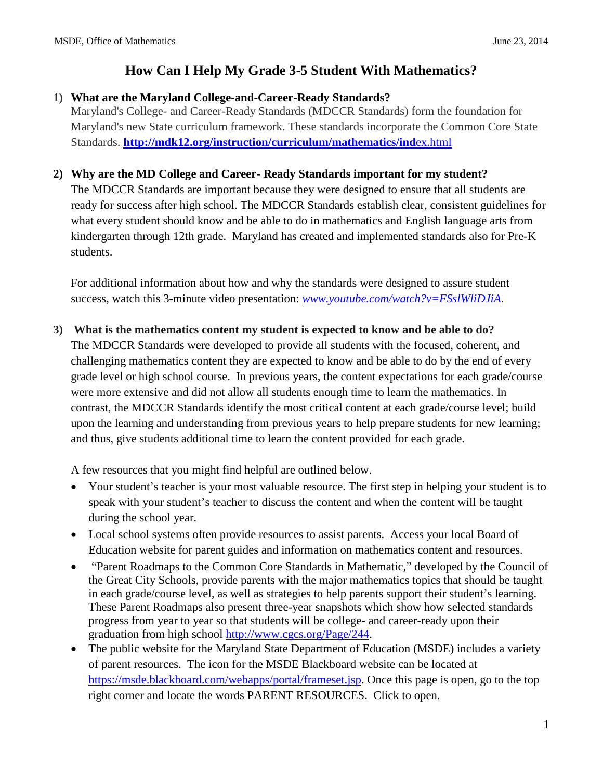#### **1) What are the Maryland College-and-Career-Ready Standards?**

Maryland's College- and Career-Ready Standards (MDCCR Standards) form the foundation for Maryland's new State curriculum framework. These standards incorporate the Common Core State Standards. **[http://mdk12.org/instruction/curriculum/mathematics/ind](http://mdk12.org/instruction/curriculum/mathematics/index.html)**ex.html

### **2) Why are the MD College and Career- Ready Standards important for my student?**

The MDCCR Standards are important because they were designed to ensure that all students are ready for success after high school. The MDCCR Standards establish clear, consistent guidelines for what every student should know and be able to do in mathematics and English language arts from kindergarten through 12th grade. Maryland has created and implemented standards also for Pre-K students.

For additional information about how and why the standards were designed to assure student success, watch this 3-minute video presentation: *[www.youtube.com/watch?v=FSslWliDJiA](http://www.youtube.com/watch?v=FSslWliDJiA)*.

#### **3) What is the mathematics content my student is expected to know and be able to do?**

The MDCCR Standards were developed to provide all students with the focused, coherent, and challenging mathematics content they are expected to know and be able to do by the end of every grade level or high school course. In previous years, the content expectations for each grade/course were more extensive and did not allow all students enough time to learn the mathematics. In contrast, the MDCCR Standards identify the most critical content at each grade/course level; build upon the learning and understanding from previous years to help prepare students for new learning; and thus, give students additional time to learn the content provided for each grade.

A few resources that you might find helpful are outlined below.

- Your student's teacher is your most valuable resource. The first step in helping your student is to speak with your student's teacher to discuss the content and when the content will be taught during the school year.
- Local school systems often provide resources to assist parents. Access your local Board of Education website for parent guides and information on mathematics content and resources.
- "Parent Roadmaps to the Common Core Standards in Mathematic," developed by the Council of the Great City Schools, provide parents with the major mathematics topics that should be taught in each grade/course level, as well as strategies to help parents support their student's learning. These Parent Roadmaps also present three-year snapshots which show how selected standards progress from year to year so that students will be college- and career-ready upon their graduation from high school [http://www.cgcs.org/Page/244.](http://www.cgcs.org/Page/244)
- The public website for the Maryland State Department of Education (MSDE) includes a variety of parent resources. The icon for the MSDE Blackboard website can be located at [https://msde.blackboard.com/webapps/portal/frameset.jsp.](https://msde.blackboard.com/webapps/portal/frameset.jsp) Once this page is open, go to the top right corner and locate the words PARENT RESOURCES. Click to open.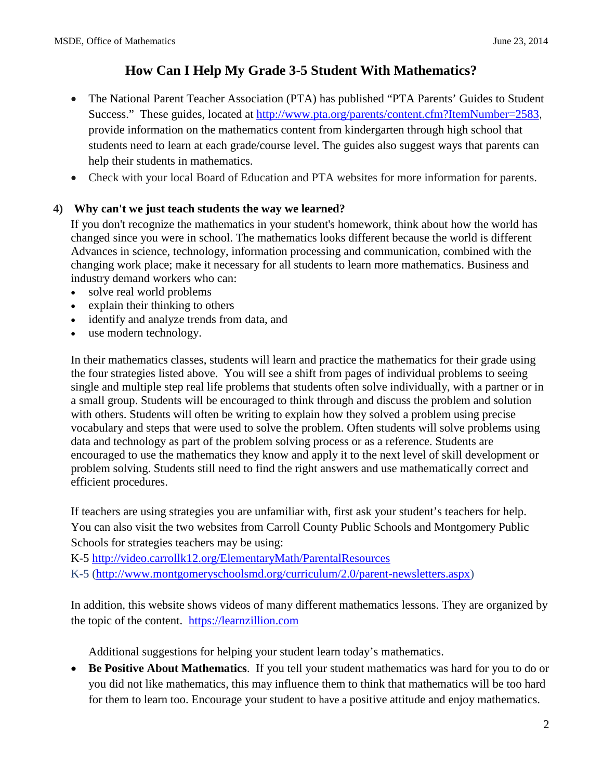- The National Parent Teacher Association (PTA) has published "PTA Parents' Guides to Student Success." These guides, located at<http://www.pta.org/parents/content.cfm?ItemNumber=2583>, provide information on the mathematics content from kindergarten through high school that students need to learn at each grade/course level. The guides also suggest ways that parents can help their students in mathematics.
- Check with your local Board of Education and PTA websites for more information for parents.

### **4) Why can't we just teach students the way we learned?**

If you don't recognize the mathematics in your student's homework, think about how the world has changed since you were in school. The mathematics looks different because the world is different Advances in science, technology, information processing and communication, combined with the changing work place; make it necessary for all students to learn more mathematics. Business and industry demand workers who can:

- solve real world problems
- explain their thinking to others
- identify and analyze trends from data, and
- use modern technology.

In their mathematics classes, students will learn and practice the mathematics for their grade using the four strategies listed above. You will see a shift from pages of individual problems to seeing single and multiple step real life problems that students often solve individually, with a partner or in a small group. Students will be encouraged to think through and discuss the problem and solution with others. Students will often be writing to explain how they solved a problem using precise vocabulary and steps that were used to solve the problem. Often students will solve problems using data and technology as part of the problem solving process or as a reference. Students are encouraged to use the mathematics they know and apply it to the next level of skill development or problem solving. Students still need to find the right answers and use mathematically correct and efficient procedures.

If teachers are using strategies you are unfamiliar with, first ask your student's teachers for help. You can also visit the two websites from Carroll County Public Schools and Montgomery Public Schools for strategies teachers may be using:

K-5<http://video.carrollk12.org/ElementaryMath/ParentalResources>

K-5 [\(http://www.montgomeryschoolsmd.org/curriculum/2.0/parent-newsletters.aspx\)](http://www.montgomeryschoolsmd.org/curriculum/2.0/parent-newsletters.aspx)

In addition, this website shows videos of many different mathematics lessons. They are organized by the topic of the content. [https://learnzillion.com](https://learnzillion.com/)

Additional suggestions for helping your student learn today's mathematics.

• **Be Positive About Mathematics**. If you tell your student mathematics was hard for you to do or you did not like mathematics, this may influence them to think that mathematics will be too hard for them to learn too. Encourage your student to have a positive attitude and enjoy mathematics.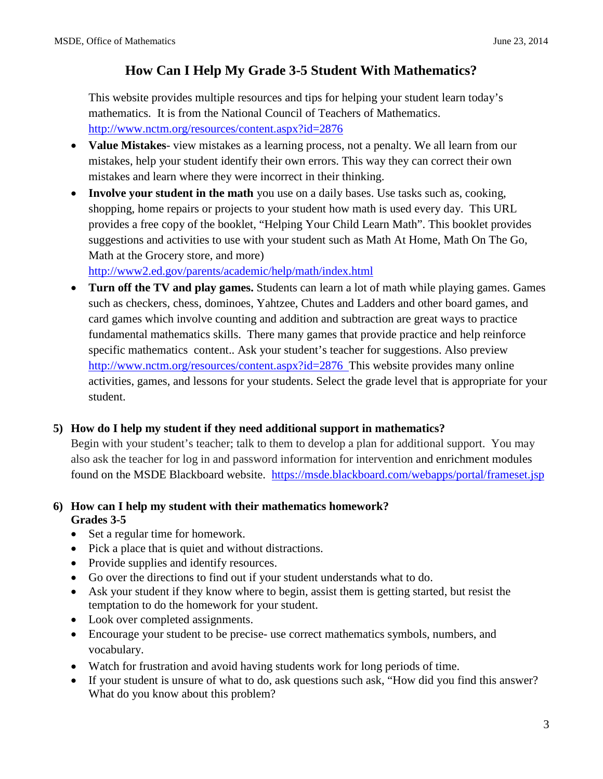This website provides multiple resources and tips for helping your student learn today's mathematics. It is from the National Council of Teachers of Mathematics. <http://www.nctm.org/resources/content.aspx?id=2876>

- **Value Mistakes** view mistakes as a learning process, not a penalty. We all learn from our mistakes, help your student identify their own errors. This way they can correct their own mistakes and learn where they were incorrect in their thinking.
- **Involve your student in the math** you use on a daily bases. Use tasks such as, cooking, shopping, home repairs or projects to your student how math is used every day. This URL provides a free copy of the booklet, "Helping Your Child Learn Math". This booklet provides suggestions and activities to use with your student such as Math At Home, Math On The Go, Math at the Grocery store, and more)

<http://www2.ed.gov/parents/academic/help/math/index.html>

• **Turn off the TV and play games.** Students can learn a lot of math while playing games. Games such as checkers, chess, dominoes, Yahtzee, Chutes and Ladders and other board games, and card games which involve counting and addition and subtraction are great ways to practice fundamental mathematics skills. There many games that provide practice and help reinforce specific mathematics content.. Ask your student's teacher for suggestions. Also preview <http://www.nctm.org/resources/content.aspx?id=2876>This website provides many online activities, games, and lessons for your students. Select the grade level that is appropriate for your student.

### **5) How do I help my student if they need additional support in mathematics?**

Begin with your student's teacher; talk to them to develop a plan for additional support. You may also ask the teacher for log in and password information for intervention and enrichment modules found on the MSDE Blackboard website. <https://msde.blackboard.com/webapps/portal/frameset.jsp>

### **6) How can I help my student with their mathematics homework? Grades 3-5**

- Set a regular time for homework.
- Pick a place that is quiet and without distractions.
- Provide supplies and identify resources.
- Go over the directions to find out if your student understands what to do.
- Ask your student if they know where to begin, assist them is getting started, but resist the temptation to do the homework for your student.
- Look over completed assignments.
- Encourage your student to be precise- use correct mathematics symbols, numbers, and vocabulary.
- Watch for frustration and avoid having students work for long periods of time.
- If your student is unsure of what to do, ask questions such ask, "How did you find this answer? What do you know about this problem?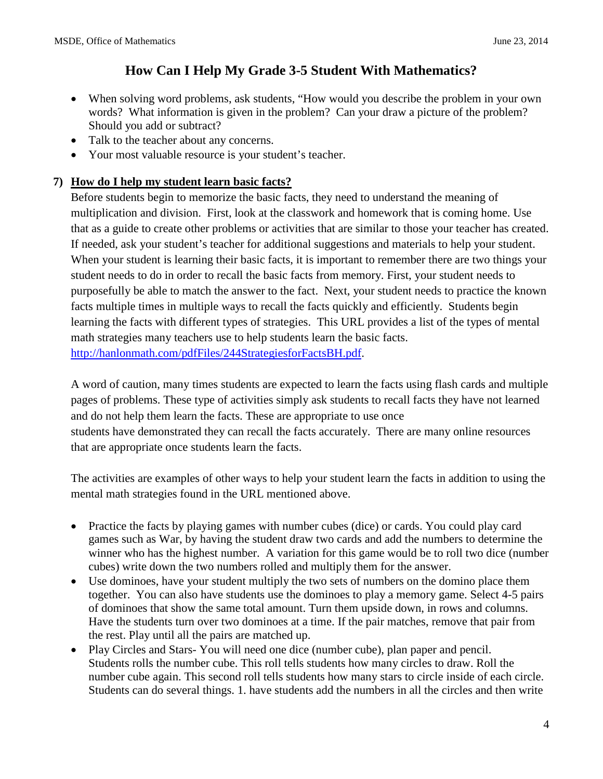- When solving word problems, ask students, "How would you describe the problem in your own words? What information is given in the problem? Can your draw a picture of the problem? Should you add or subtract?
- Talk to the teacher about any concerns.
- Your most valuable resource is your student's teacher.

#### **7) How do I help my student learn basic facts?**

Before students begin to memorize the basic facts, they need to understand the meaning of multiplication and division. First, look at the classwork and homework that is coming home. Use that as a guide to create other problems or activities that are similar to those your teacher has created. If needed, ask your student's teacher for additional suggestions and materials to help your student. When your student is learning their basic facts, it is important to remember there are two things your student needs to do in order to recall the basic facts from memory. First, your student needs to purposefully be able to match the answer to the fact. Next, your student needs to practice the known facts multiple times in multiple ways to recall the facts quickly and efficiently. Students begin learning the facts with different types of strategies. This URL provides a list of the types of mental math strategies many teachers use to help students learn the basic facts. [http://hanlonmath.com/pdfFiles/244StrategiesforFactsBH.pdf.](http://hanlonmath.com/pdfFiles/244StrategiesforFactsBH.pdf)

A word of caution, many times students are expected to learn the facts using flash cards and multiple pages of problems. These type of activities simply ask students to recall facts they have not learned and do not help them learn the facts. These are appropriate to use once students have demonstrated they can recall the facts accurately. There are many online resources that are appropriate once students learn the facts.

The activities are examples of other ways to help your student learn the facts in addition to using the mental math strategies found in the URL mentioned above.

- Practice the facts by playing games with number cubes (dice) or cards. You could play card games such as War, by having the student draw two cards and add the numbers to determine the winner who has the highest number. A variation for this game would be to roll two dice (number cubes) write down the two numbers rolled and multiply them for the answer.
- Use dominoes, have your student multiply the two sets of numbers on the domino place them together. You can also have students use the dominoes to play a memory game. Select 4-5 pairs of dominoes that show the same total amount. Turn them upside down, in rows and columns. Have the students turn over two dominoes at a time. If the pair matches, remove that pair from the rest. Play until all the pairs are matched up.
- Play Circles and Stars- You will need one dice (number cube), plan paper and pencil. Students rolls the number cube. This roll tells students how many circles to draw. Roll the number cube again. This second roll tells students how many stars to circle inside of each circle. Students can do several things. 1. have students add the numbers in all the circles and then write